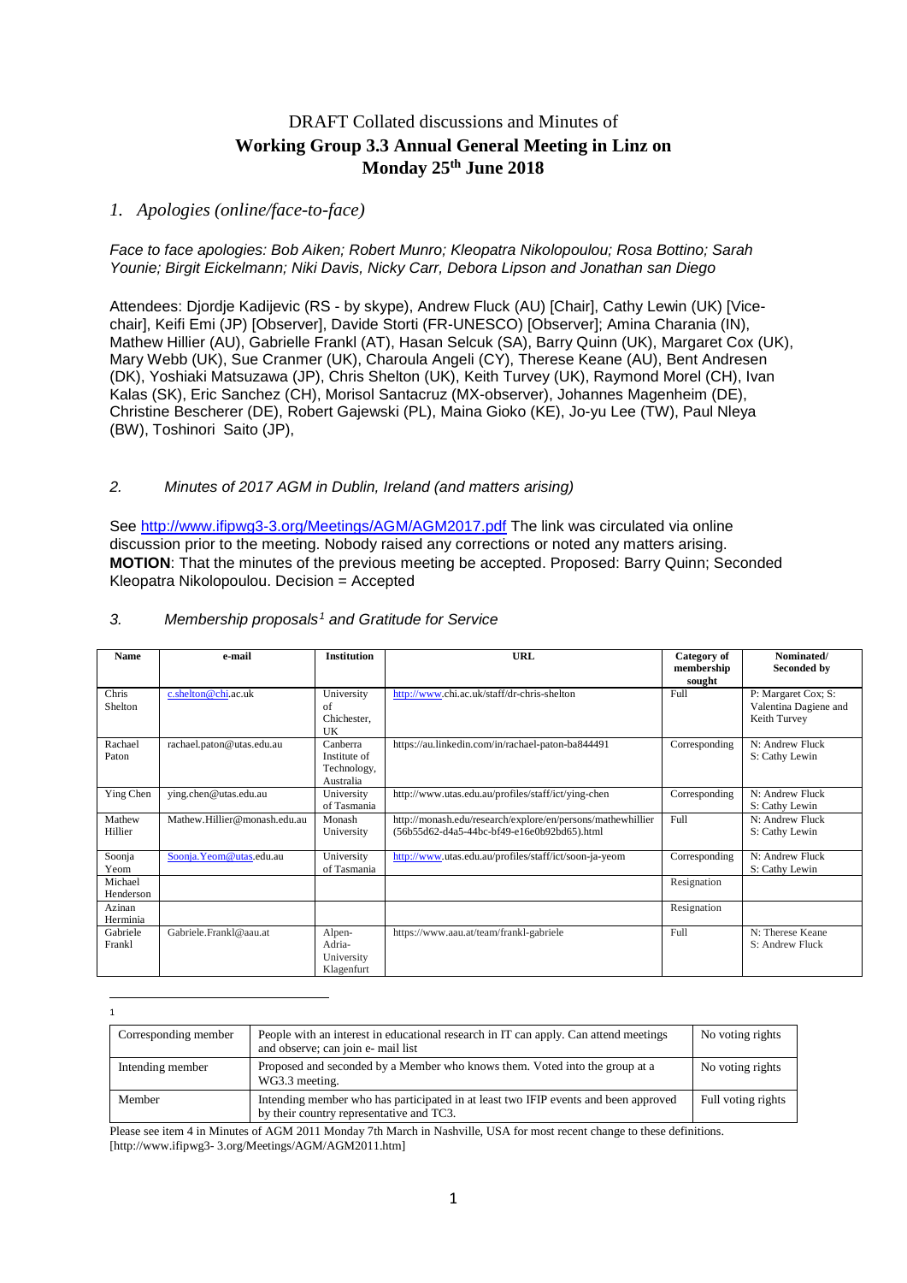### DRAFT Collated discussions and Minutes of **Working Group 3.3 Annual General Meeting in Linz on Monday 25th June 2018**

#### *1. Apologies (online/face-to-face)*

*Face to face apologies: Bob Aiken; Robert Munro; Kleopatra Nikolopoulou; Rosa Bottino; Sarah Younie; Birgit Eickelmann; Niki Davis, Nicky Carr, Debora Lipson and Jonathan san Diego*

Attendees: Djordje Kadijevic (RS - by skype), Andrew Fluck (AU) [Chair], Cathy Lewin (UK) [Vicechair], Keifi Emi (JP) [Observer], Davide Storti (FR-UNESCO) [Observer]; Amina Charania (IN), Mathew Hillier (AU), Gabrielle Frankl (AT), Hasan Selcuk (SA), Barry Quinn (UK), Margaret Cox (UK), Mary Webb (UK), Sue Cranmer (UK), Charoula Angeli (CY), Therese Keane (AU), Bent Andresen (DK), Yoshiaki Matsuzawa (JP), Chris Shelton (UK), Keith Turvey (UK), Raymond Morel (CH), Ivan Kalas (SK), Eric Sanchez (CH), Morisol Santacruz (MX-observer), Johannes Magenheim (DE), Christine Bescherer (DE), Robert Gajewski (PL), Maina Gioko (KE), Jo-yu Lee (TW), Paul Nleya (BW), Toshinori Saito (JP),

#### *2. Minutes of 2017 AGM in Dublin, Ireland (and matters arising)*

See<http://www.ifipwg3-3.org/Meetings/AGM/AGM2017.pdf> The link was circulated via online discussion prior to the meeting. Nobody raised any corrections or noted any matters arising. **MOTION**: That the minutes of the previous meeting be accepted. Proposed: Barry Quinn; Seconded Kleopatra Nikolopoulou. Decision = Accepted

| <b>Name</b> | e-mail                       | <b>Institution</b> | <b>URL</b>                                                  | Category of<br>membership | Nominated/<br>Seconded by |
|-------------|------------------------------|--------------------|-------------------------------------------------------------|---------------------------|---------------------------|
|             |                              |                    |                                                             | sought                    |                           |
| Chris       | c.shelton@chi.ac.uk          | University         | http://www.chi.ac.uk/staff/dr-chris-shelton                 | Full                      | P: Margaret Cox; S:       |
| Shelton     |                              | of                 |                                                             |                           | Valentina Dagiene and     |
|             |                              | Chichester,        |                                                             |                           | Keith Turvey              |
|             |                              | UK                 |                                                             |                           |                           |
| Rachael     | rachael.paton@utas.edu.au    | Canberra           | https://au.linkedin.com/in/rachael-paton-ba844491           | Corresponding             | N: Andrew Fluck           |
| Paton       |                              | Institute of       |                                                             |                           | S: Cathy Lewin            |
|             |                              | Technology,        |                                                             |                           |                           |
|             |                              | Australia          |                                                             |                           |                           |
| Ying Chen   | ying.chen@utas.edu.au        | University         | http://www.utas.edu.au/profiles/staff/ict/ying-chen         | Corresponding             | N: Andrew Fluck           |
|             |                              | of Tasmania        |                                                             |                           | S: Cathy Lewin            |
| Mathew      | Mathew.Hillier@monash.edu.au | Monash             | http://monash.edu/research/explore/en/persons/mathewhillier | Full                      | N: Andrew Fluck           |
| Hillier     |                              | University         | (56b55d62-d4a5-44bc-bf49-e16e0b92bd65).html                 |                           | S: Cathy Lewin            |
|             |                              |                    |                                                             |                           |                           |
| Soonja      | Soonja.Yeom@utas.edu.au      | University         | http://www.utas.edu.au/profiles/staff/ict/soon-ja-yeom      | Corresponding             | N: Andrew Fluck           |
| Yeom        |                              | of Tasmania        |                                                             |                           | S: Cathy Lewin            |
| Michael     |                              |                    |                                                             | Resignation               |                           |
| Henderson   |                              |                    |                                                             |                           |                           |
| Azinan      |                              |                    |                                                             | Resignation               |                           |
| Herminia    |                              |                    |                                                             |                           |                           |
| Gabriele    | Gabriele.Frankl@aau.at       | Alpen-             | https://www.aau.at/team/frankl-gabriele                     | Full                      | N: Therese Keane          |
| Frankl      |                              | Adria-             |                                                             |                           | S: Andrew Fluck           |
|             |                              | University         |                                                             |                           |                           |
|             |                              | Klagenfurt         |                                                             |                           |                           |

#### *3. Membership proposals[1](#page-0-0) and Gratitude for Service*

<span id="page-0-0"></span> $\frac{1}{1}$  $\overline{1}$ 

| Corresponding member | People with an interest in educational research in IT can apply. Can attend meetings<br>and observe; can join e- mail list      | No voting rights   |
|----------------------|---------------------------------------------------------------------------------------------------------------------------------|--------------------|
| Intending member     | Proposed and seconded by a Member who knows them. Voted into the group at a<br>WG3.3 meeting.                                   | No voting rights   |
| Member               | Intending member who has participated in at least two IFIP events and been approved<br>by their country representative and TC3. | Full voting rights |

Please see item 4 in Minutes of AGM 2011 Monday 7th March in Nashville, USA for most recent change to these definitions. [http://www.ifipwg3- 3.org/Meetings/AGM/AGM2011.htm]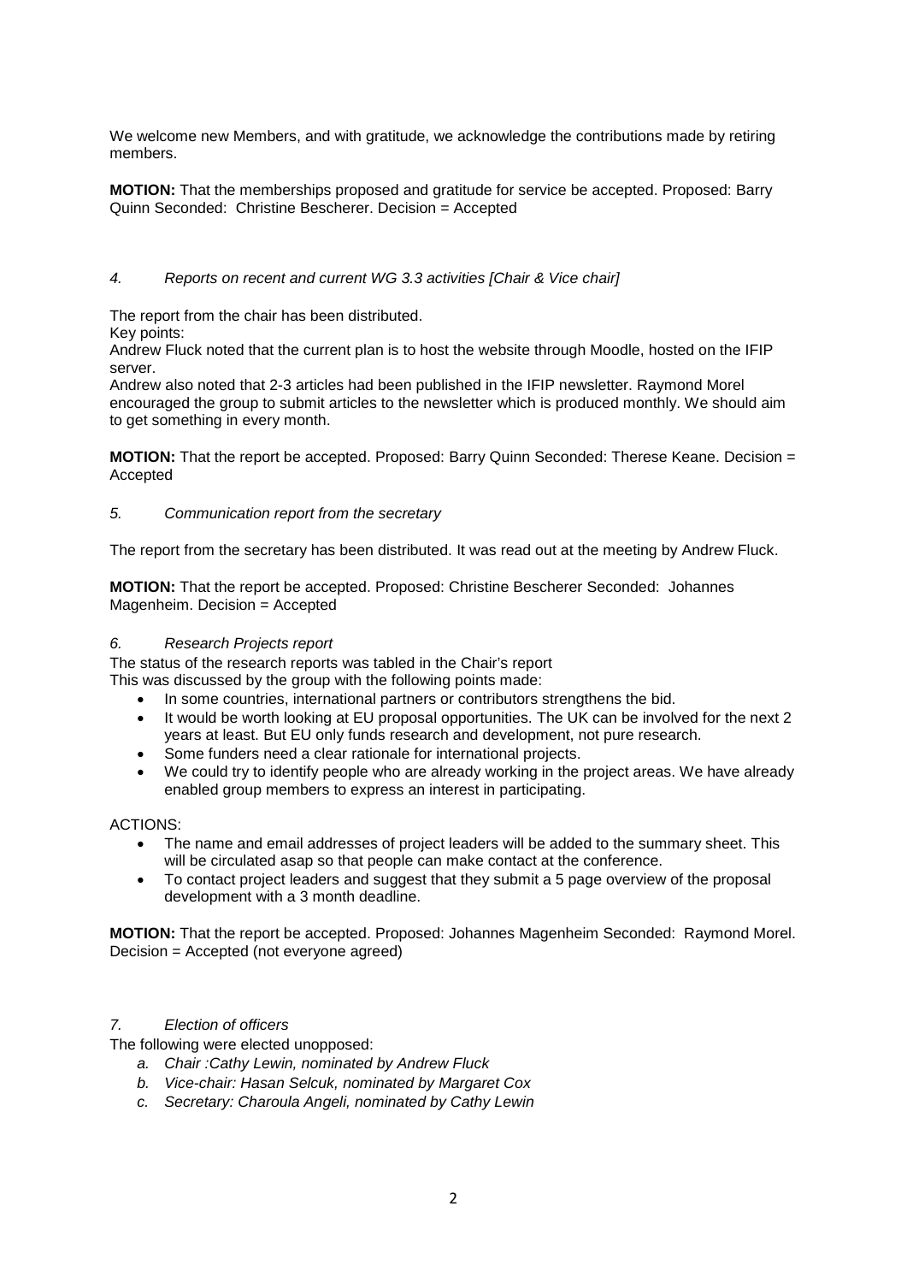We welcome new Members, and with gratitude, we acknowledge the contributions made by retiring members.

**MOTION:** That the memberships proposed and gratitude for service be accepted. Proposed: Barry Quinn Seconded: Christine Bescherer. Decision = Accepted

#### *4. Reports on recent and current WG 3.3 activities [Chair & Vice chair]*

The report from the chair has been distributed.

Key points:

Andrew Fluck noted that the current plan is to host the website through Moodle, hosted on the IFIP server.

Andrew also noted that 2-3 articles had been published in the IFIP newsletter. Raymond Morel encouraged the group to submit articles to the newsletter which is produced monthly. We should aim to get something in every month.

**MOTION:** That the report be accepted. Proposed: Barry Quinn Seconded: Therese Keane. Decision = Accepted

#### *5. Communication report from the secretary*

The report from the secretary has been distributed. It was read out at the meeting by Andrew Fluck.

**MOTION:** That the report be accepted. Proposed: Christine Bescherer Seconded: Johannes Magenheim. Decision = Accepted

#### *6. Research Projects report*

The status of the research reports was tabled in the Chair's report

This was discussed by the group with the following points made:

- In some countries, international partners or contributors strengthens the bid.
- It would be worth looking at EU proposal opportunities. The UK can be involved for the next 2 years at least. But EU only funds research and development, not pure research.
- Some funders need a clear rationale for international projects.
- We could try to identify people who are already working in the project areas. We have already enabled group members to express an interest in participating.

#### ACTIONS:

- The name and email addresses of project leaders will be added to the summary sheet. This will be circulated asap so that people can make contact at the conference.
- To contact project leaders and suggest that they submit a 5 page overview of the proposal development with a 3 month deadline.

**MOTION:** That the report be accepted. Proposed: Johannes Magenheim Seconded: Raymond Morel. Decision = Accepted (not everyone agreed)

### *7. Election of officers*

The following were elected unopposed:

- *a. Chair :Cathy Lewin, nominated by Andrew Fluck*
- *b. Vice-chair: Hasan Selcuk, nominated by Margaret Cox*
- *c. Secretary: Charoula Angeli, nominated by Cathy Lewin*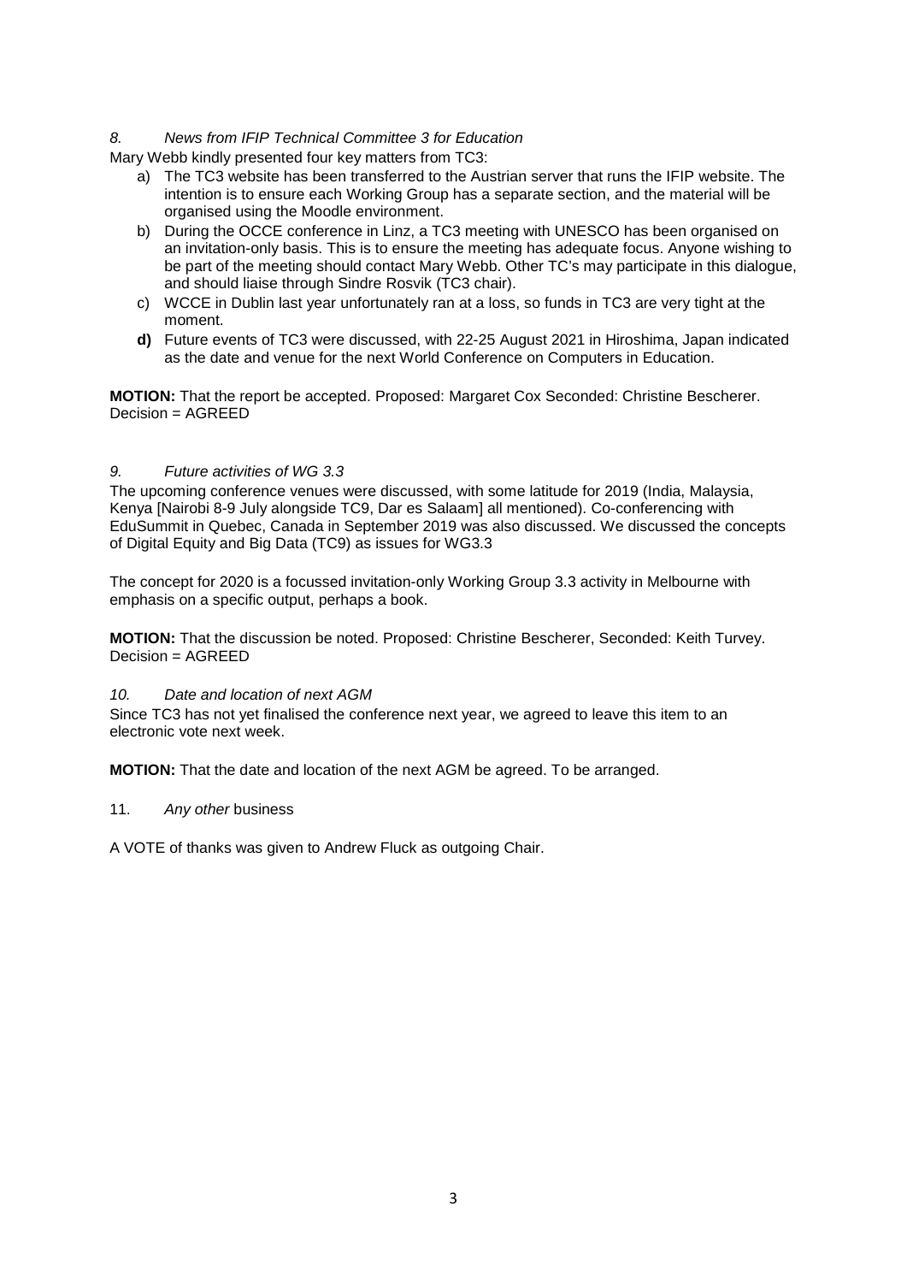#### *8. News from IFIP Technical Committee 3 for Education*

Mary Webb kindly presented four key matters from TC3:

- a) The TC3 website has been transferred to the Austrian server that runs the IFIP website. The intention is to ensure each Working Group has a separate section, and the material will be organised using the Moodle environment.
- b) During the OCCE conference in Linz, a TC3 meeting with UNESCO has been organised on an invitation-only basis. This is to ensure the meeting has adequate focus. Anyone wishing to be part of the meeting should contact Mary Webb. Other TC's may participate in this dialogue, and should liaise through Sindre Rosvik (TC3 chair).
- c) WCCE in Dublin last year unfortunately ran at a loss, so funds in TC3 are very tight at the moment.
- **d)** Future events of TC3 were discussed, with 22-25 August 2021 in Hiroshima, Japan indicated as the date and venue for the next World Conference on Computers in Education.

**MOTION:** That the report be accepted. Proposed: Margaret Cox Seconded: Christine Bescherer. Decision = AGREED

#### *9. Future activities of WG 3.3*

The upcoming conference venues were discussed, with some latitude for 2019 (India, Malaysia, Kenya [Nairobi 8-9 July alongside TC9, Dar es Salaam] all mentioned). Co-conferencing with EduSummit in Quebec, Canada in September 2019 was also discussed. We discussed the concepts of Digital Equity and Big Data (TC9) as issues for WG3.3

The concept for 2020 is a focussed invitation-only Working Group 3.3 activity in Melbourne with emphasis on a specific output, perhaps a book.

**MOTION:** That the discussion be noted. Proposed: Christine Bescherer, Seconded: Keith Turvey. Decision = AGREED

#### *10. Date and location of next AGM*

Since TC3 has not yet finalised the conference next year, we agreed to leave this item to an electronic vote next week.

**MOTION:** That the date and location of the next AGM be agreed. To be arranged.

#### 11. *Any other* business

A VOTE of thanks was given to Andrew Fluck as outgoing Chair.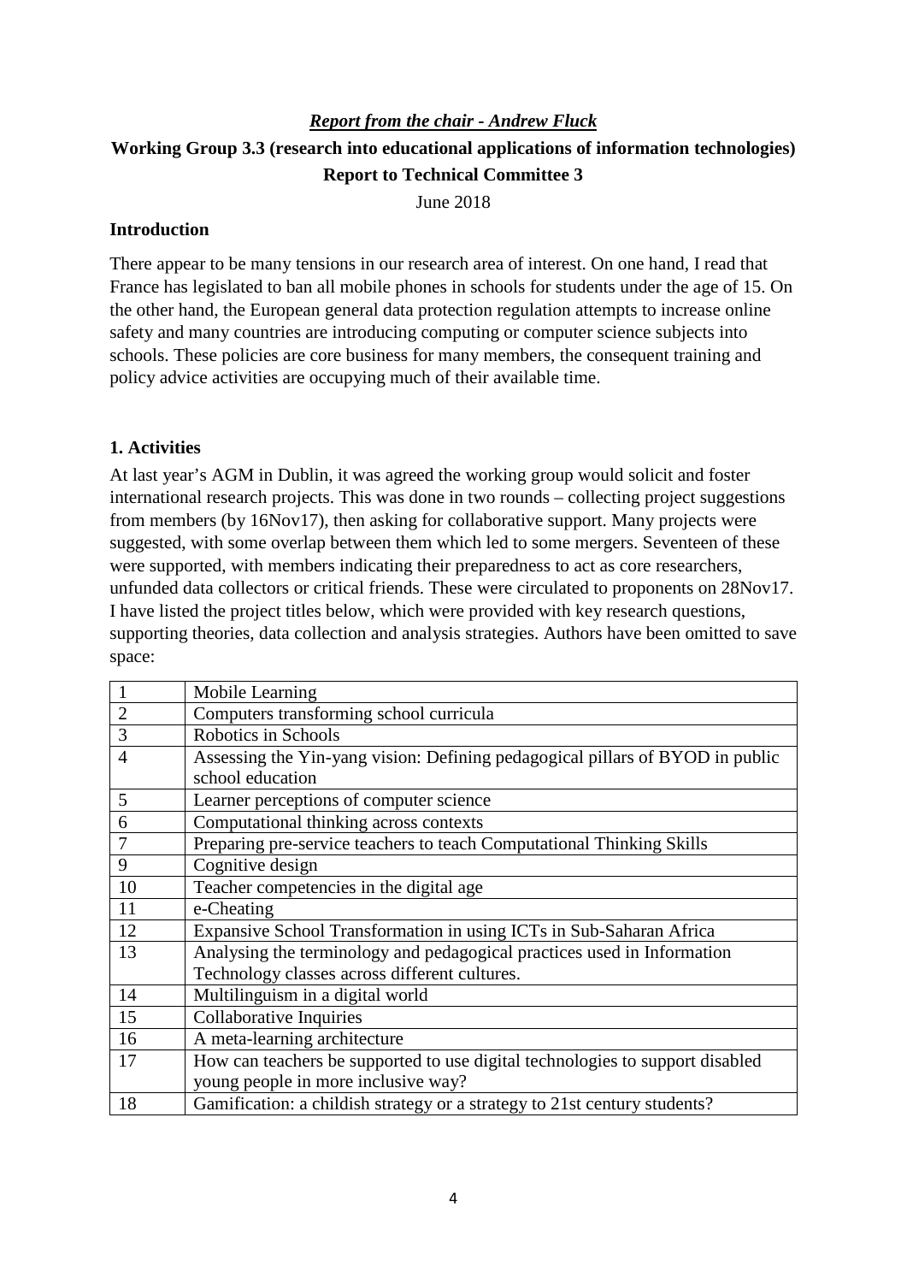# *Report from the chair - Andrew Fluck* **Working Group 3.3 (research into educational applications of information technologies) Report to Technical Committee 3**

June 2018

### **Introduction**

There appear to be many tensions in our research area of interest. On one hand, I read that France has legislated to ban all mobile phones in schools for students under the age of 15. On the other hand, the European general data protection regulation attempts to increase online safety and many countries are introducing computing or computer science subjects into schools. These policies are core business for many members, the consequent training and policy advice activities are occupying much of their available time.

### **1. Activities**

At last year's AGM in Dublin, it was agreed the working group would solicit and foster international research projects. This was done in two rounds – collecting project suggestions from members (by 16Nov17), then asking for collaborative support. Many projects were suggested, with some overlap between them which led to some mergers. Seventeen of these were supported, with members indicating their preparedness to act as core researchers, unfunded data collectors or critical friends. These were circulated to proponents on 28Nov17. I have listed the project titles below, which were provided with key research questions, supporting theories, data collection and analysis strategies. Authors have been omitted to save space:

| $\mathbf{1}$   | Mobile Learning                                                               |  |  |  |
|----------------|-------------------------------------------------------------------------------|--|--|--|
| $\overline{2}$ | Computers transforming school curricula                                       |  |  |  |
| 3              | Robotics in Schools                                                           |  |  |  |
| $\overline{4}$ | Assessing the Yin-yang vision: Defining pedagogical pillars of BYOD in public |  |  |  |
|                | school education                                                              |  |  |  |
| 5              | Learner perceptions of computer science                                       |  |  |  |
| 6              | Computational thinking across contexts                                        |  |  |  |
| $\overline{7}$ | Preparing pre-service teachers to teach Computational Thinking Skills         |  |  |  |
| 9              | Cognitive design                                                              |  |  |  |
| 10             | Teacher competencies in the digital age                                       |  |  |  |
| 11             | e-Cheating                                                                    |  |  |  |
| 12             | Expansive School Transformation in using ICTs in Sub-Saharan Africa           |  |  |  |
| 13             | Analysing the terminology and pedagogical practices used in Information       |  |  |  |
|                | Technology classes across different cultures.                                 |  |  |  |
| 14             | Multilinguism in a digital world                                              |  |  |  |
| 15             | Collaborative Inquiries                                                       |  |  |  |
| 16             | A meta-learning architecture                                                  |  |  |  |
| 17             | How can teachers be supported to use digital technologies to support disabled |  |  |  |
|                | young people in more inclusive way?                                           |  |  |  |
| 18             | Gamification: a childish strategy or a strategy to 21st century students?     |  |  |  |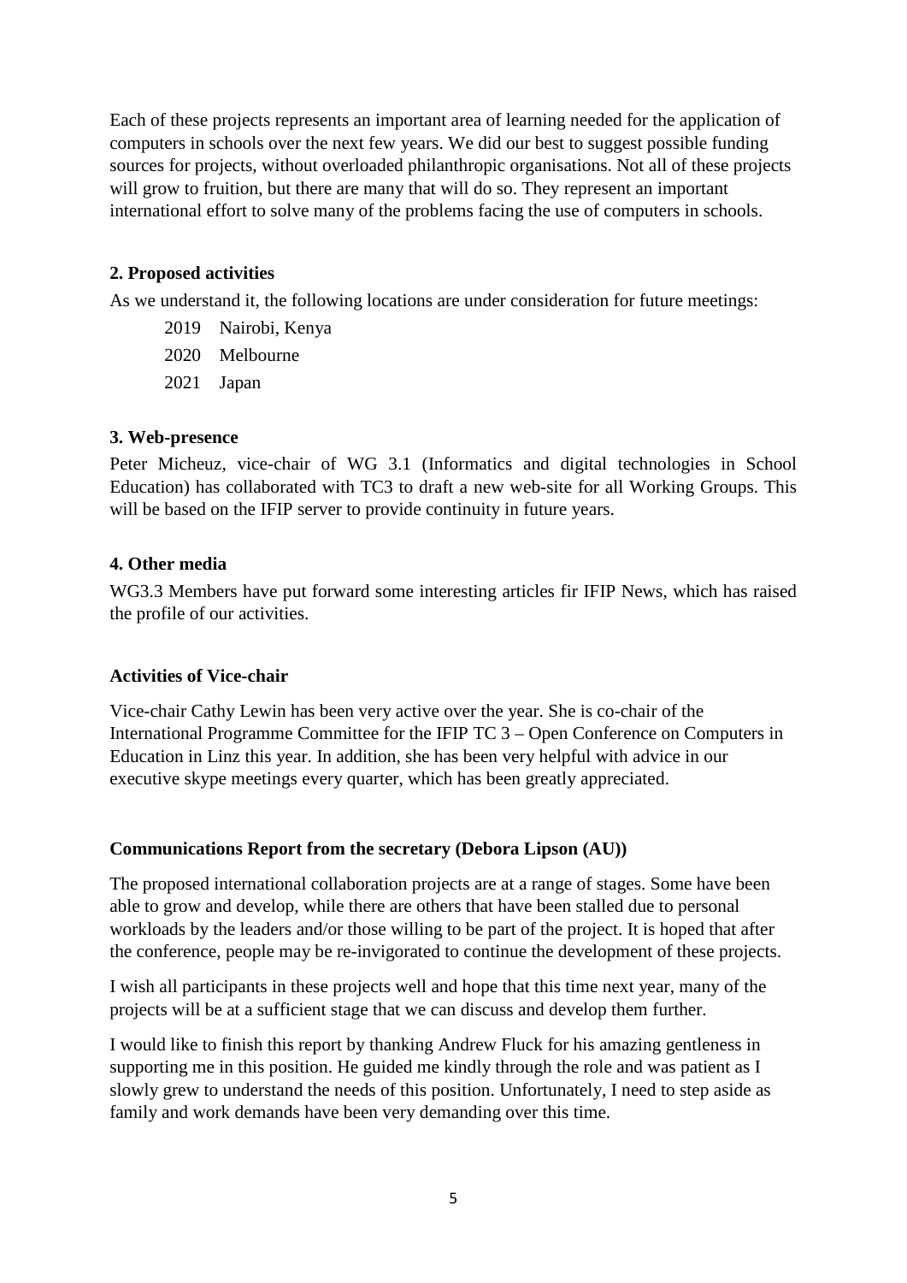Each of these projects represents an important area of learning needed for the application of computers in schools over the next few years. We did our best to suggest possible funding sources for projects, without overloaded philanthropic organisations. Not all of these projects will grow to fruition, but there are many that will do so. They represent an important international effort to solve many of the problems facing the use of computers in schools.

### **2. Proposed activities**

As we understand it, the following locations are under consideration for future meetings:

- 2019 Nairobi, Kenya
- 2020 Melbourne
- 2021 Japan

### **3. Web-presence**

Peter Micheuz, vice-chair of WG 3.1 (Informatics and digital technologies in School Education) has collaborated with TC3 to draft a new web-site for all Working Groups. This will be based on the IFIP server to provide continuity in future years.

### **4. Other media**

WG3.3 Members have put forward some interesting articles fir IFIP News, which has raised the profile of our activities.

### **Activities of Vice-chair**

Vice-chair Cathy Lewin has been very active over the year. She is co-chair of the International Programme Committee for the IFIP TC 3 – Open Conference on Computers in Education in Linz this year. In addition, she has been very helpful with advice in our executive skype meetings every quarter, which has been greatly appreciated.

### **Communications Report from the secretary (Debora Lipson (AU))**

The proposed international collaboration projects are at a range of stages. Some have been able to grow and develop, while there are others that have been stalled due to personal workloads by the leaders and/or those willing to be part of the project. It is hoped that after the conference, people may be re-invigorated to continue the development of these projects.

I wish all participants in these projects well and hope that this time next year, many of the projects will be at a sufficient stage that we can discuss and develop them further.

I would like to finish this report by thanking Andrew Fluck for his amazing gentleness in supporting me in this position. He guided me kindly through the role and was patient as I slowly grew to understand the needs of this position. Unfortunately, I need to step aside as family and work demands have been very demanding over this time.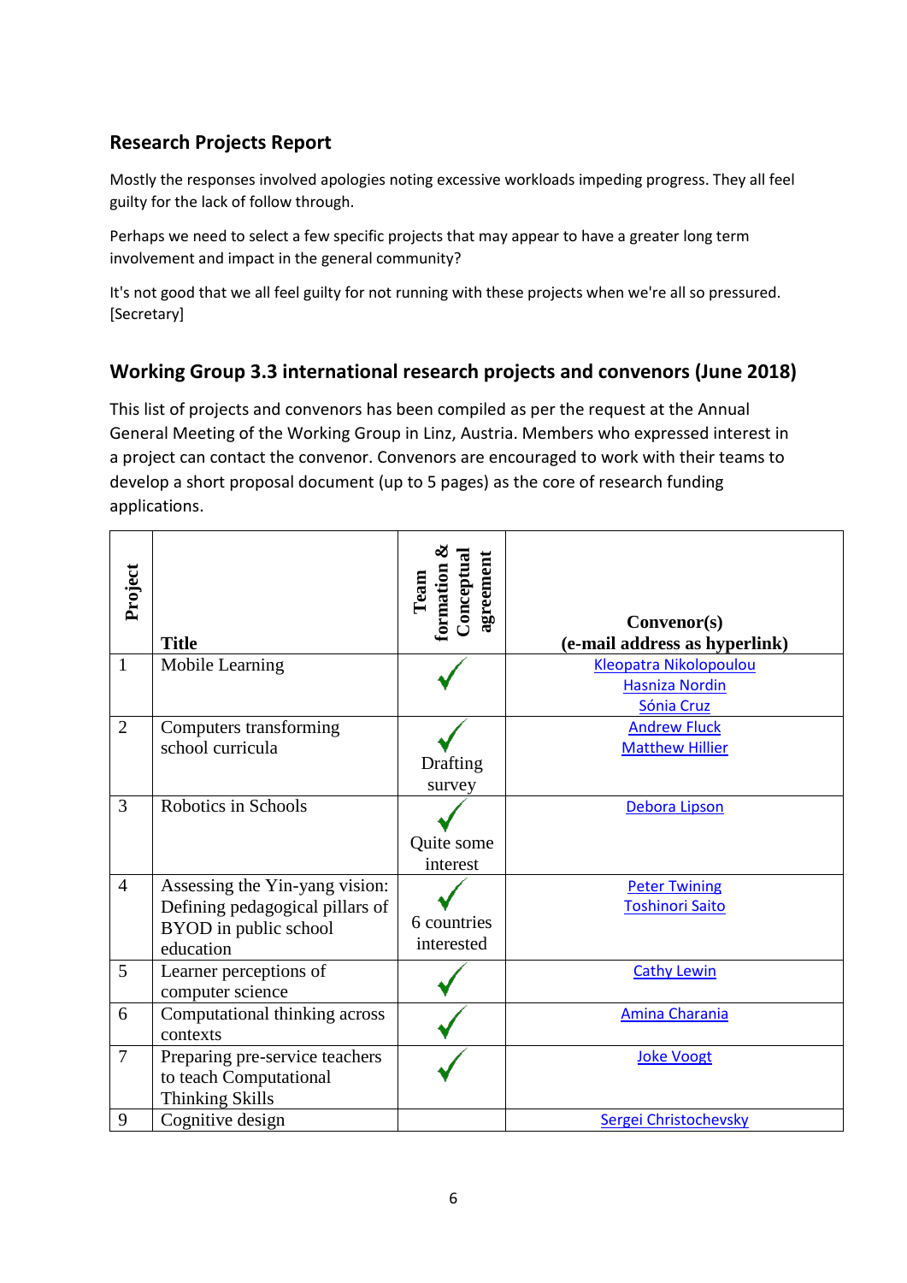# **Research Projects Report**

Mostly the responses involved apologies noting excessive workloads impeding progress. They all feel guilty for the lack of follow through.

Perhaps we need to select a few specific projects that may appear to have a greater long term involvement and impact in the general community?

It's not good that we all feel guilty for not running with these projects when we're all so pressured. [Secretary]

# **Working Group 3.3 international research projects and convenors (June 2018)**

This list of projects and convenors has been compiled as per the request at the Annual General Meeting of the Working Group in Linz, Austria. Members who expressed interest in a project can contact the convenor. Convenors are encouraged to work with their teams to develop a short proposal document (up to 5 pages) as the core of research funding applications.

| Project        | <b>Title</b>                                                                                            | Conceptual<br>agreement<br>formation<br>Team | Convenor(s)<br>(e-mail address as hyperlink)                  |
|----------------|---------------------------------------------------------------------------------------------------------|----------------------------------------------|---------------------------------------------------------------|
| $\mathbf{1}$   | Mobile Learning                                                                                         |                                              | Kleopatra Nikolopoulou<br><b>Hasniza Nordin</b><br>Sónia Cruz |
| $\overline{2}$ | Computers transforming<br>school curricula                                                              | Drafting<br>survey                           | <b>Andrew Fluck</b><br><b>Matthew Hillier</b>                 |
| 3              | Robotics in Schools                                                                                     | Quite some<br>interest                       | Debora Lipson                                                 |
| $\overline{4}$ | Assessing the Yin-yang vision:<br>Defining pedagogical pillars of<br>BYOD in public school<br>education | 6 countries<br>interested                    | <b>Peter Twining</b><br><b>Toshinori Saito</b>                |
| 5              | Learner perceptions of<br>computer science                                                              |                                              | <b>Cathy Lewin</b>                                            |
| 6              | Computational thinking across<br>contexts                                                               |                                              | Amina Charania                                                |
| $\overline{7}$ | Preparing pre-service teachers<br>to teach Computational<br><b>Thinking Skills</b>                      |                                              | <b>Joke Voogt</b>                                             |
| 9              | Cognitive design                                                                                        |                                              | Sergei Christochevsky                                         |